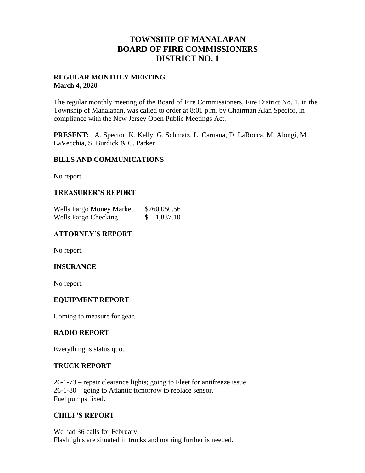## **TOWNSHIP OF MANALAPAN BOARD OF FIRE COMMISSIONERS DISTRICT NO. 1**

#### **REGULAR MONTHLY MEETING March 4, 2020**

The regular monthly meeting of the Board of Fire Commissioners, Fire District No. 1, in the Township of Manalapan, was called to order at 8:01 p.m. by Chairman Alan Spector, in compliance with the New Jersey Open Public Meetings Act.

**PRESENT:** A. Spector, K. Kelly, G. Schmatz, L. Caruana, D. LaRocca, M. Alongi, M. LaVecchia, S. Burdick & C. Parker

#### **BILLS AND COMMUNICATIONS**

No report.

## **TREASURER'S REPORT**

| <b>Wells Fargo Money Market</b> | \$760,050.56 |  |
|---------------------------------|--------------|--|
| <b>Wells Fargo Checking</b>     | 1,837.10     |  |

## **ATTORNEY'S REPORT**

No report.

#### **INSURANCE**

No report.

#### **EQUIPMENT REPORT**

Coming to measure for gear.

#### **RADIO REPORT**

Everything is status quo.

#### **TRUCK REPORT**

26-1-73 – repair clearance lights; going to Fleet for antifreeze issue. 26-1-80 – going to Atlantic tomorrow to replace sensor. Fuel pumps fixed.

#### **CHIEF'S REPORT**

We had 36 calls for February. Flashlights are situated in trucks and nothing further is needed.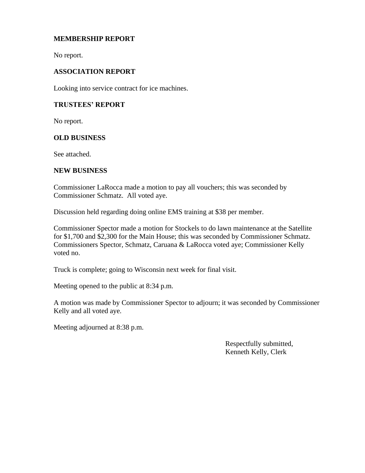## **MEMBERSHIP REPORT**

No report.

## **ASSOCIATION REPORT**

Looking into service contract for ice machines.

### **TRUSTEES' REPORT**

No report.

#### **OLD BUSINESS**

See attached.

#### **NEW BUSINESS**

Commissioner LaRocca made a motion to pay all vouchers; this was seconded by Commissioner Schmatz. All voted aye.

Discussion held regarding doing online EMS training at \$38 per member.

Commissioner Spector made a motion for Stockels to do lawn maintenance at the Satellite for \$1,700 and \$2,300 for the Main House; this was seconded by Commissioner Schmatz. Commissioners Spector, Schmatz, Caruana & LaRocca voted aye; Commissioner Kelly voted no.

Truck is complete; going to Wisconsin next week for final visit.

Meeting opened to the public at 8:34 p.m.

A motion was made by Commissioner Spector to adjourn; it was seconded by Commissioner Kelly and all voted aye.

Meeting adjourned at 8:38 p.m.

 Respectfully submitted, Kenneth Kelly, Clerk